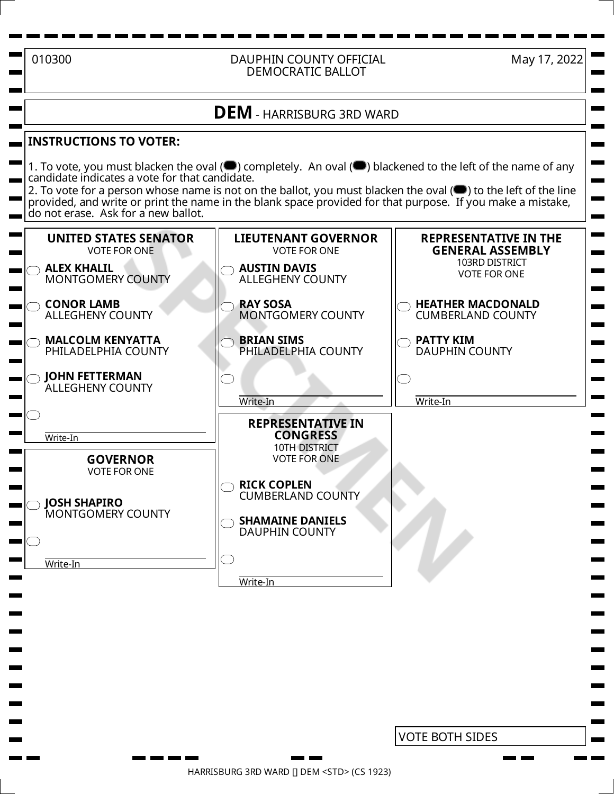## 010300 DAUPHIN COUNTY OFFICIAL DEMOCRATIC BALLOT

May 17, 2022

## **DEM** - HARRISBURG 3RD WARD

## **INSTRUCTIONS TO VOTER:**

1. To vote, you must blacken the oval ( $\bullet$ ) completely. An oval ( $\bullet$ ) blackened to the left of the name of any candidate indicates a vote for that candidate.

2. To vote for a person whose name is not on the ballot, you must blacken the oval  $($ **)** to the left of the line provided, and write or print the name in the blank space provided for that purpose. If you make a mistake, do not erase. Ask for a new ballot.